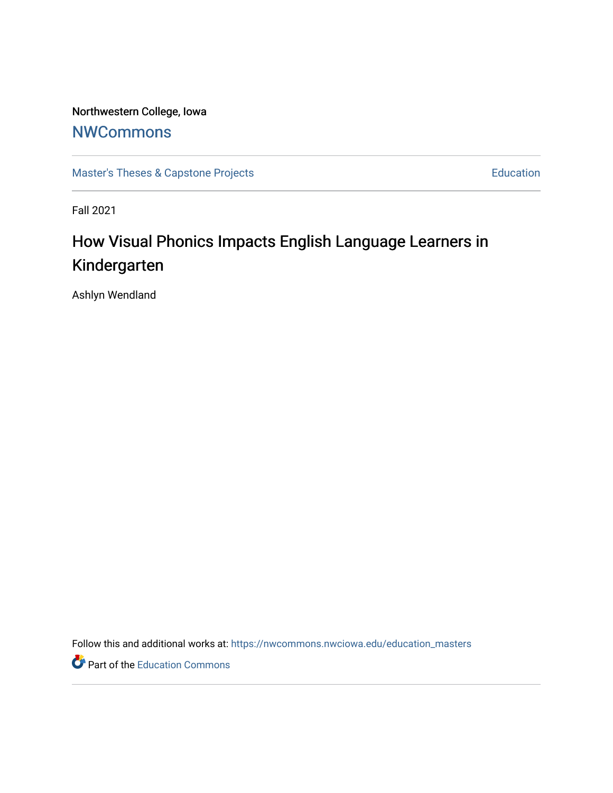Northwestern College, Iowa **[NWCommons](https://nwcommons.nwciowa.edu/)** 

[Master's Theses & Capstone Projects](https://nwcommons.nwciowa.edu/education_masters) **Education** Education

Fall 2021

# How Visual Phonics Impacts English Language Learners in Kindergarten

Ashlyn Wendland

Follow this and additional works at: [https://nwcommons.nwciowa.edu/education\\_masters](https://nwcommons.nwciowa.edu/education_masters?utm_source=nwcommons.nwciowa.edu%2Feducation_masters%2F367&utm_medium=PDF&utm_campaign=PDFCoverPages)

Part of the [Education Commons](http://network.bepress.com/hgg/discipline/784?utm_source=nwcommons.nwciowa.edu%2Feducation_masters%2F367&utm_medium=PDF&utm_campaign=PDFCoverPages)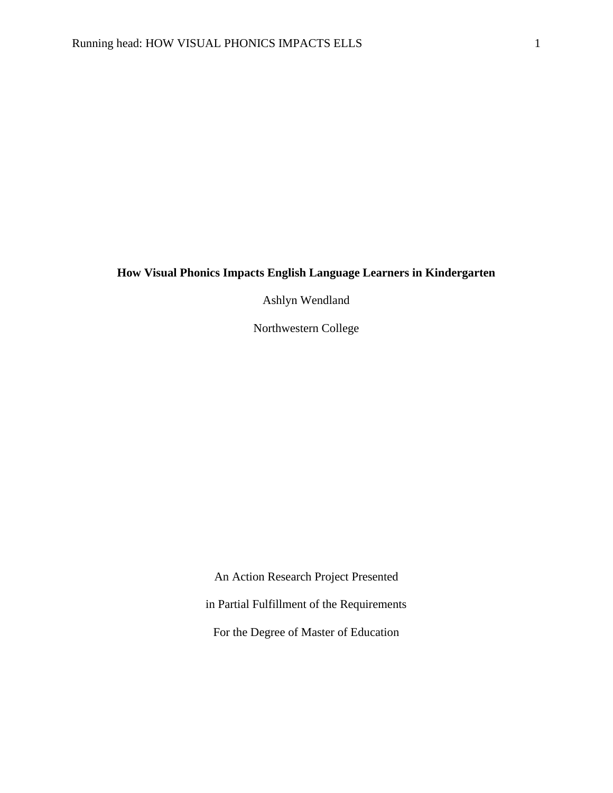# **How Visual Phonics Impacts English Language Learners in Kindergarten**

Ashlyn Wendland

Northwestern College

An Action Research Project Presented in Partial Fulfillment of the Requirements For the Degree of Master of Education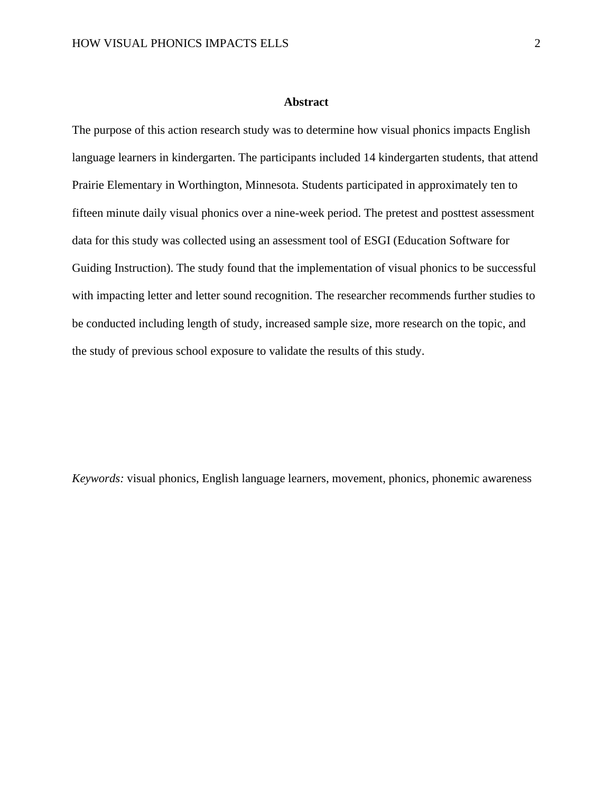#### **Abstract**

<span id="page-2-0"></span>The purpose of this action research study was to determine how visual phonics impacts English language learners in kindergarten. The participants included 14 kindergarten students, that attend Prairie Elementary in Worthington, Minnesota. Students participated in approximately ten to fifteen minute daily visual phonics over a nine-week period. The pretest and posttest assessment data for this study was collected using an assessment tool of ESGI (Education Software for Guiding Instruction). The study found that the implementation of visual phonics to be successful with impacting letter and letter sound recognition. The researcher recommends further studies to be conducted including length of study, increased sample size, more research on the topic, and the study of previous school exposure to validate the results of this study.

*Keywords:* visual phonics, English language learners, movement, phonics, phonemic awareness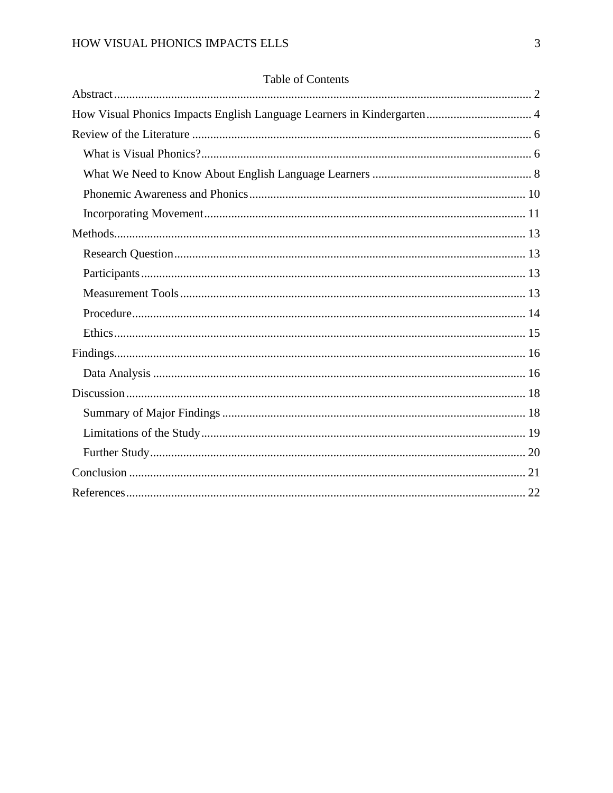| How Visual Phonics Impacts English Language Learners in Kindergarten 4 |
|------------------------------------------------------------------------|
|                                                                        |
|                                                                        |
|                                                                        |
|                                                                        |
|                                                                        |
|                                                                        |
|                                                                        |
|                                                                        |
|                                                                        |
|                                                                        |
|                                                                        |
|                                                                        |
|                                                                        |
|                                                                        |
|                                                                        |
|                                                                        |
|                                                                        |
|                                                                        |
|                                                                        |

# Table of Contents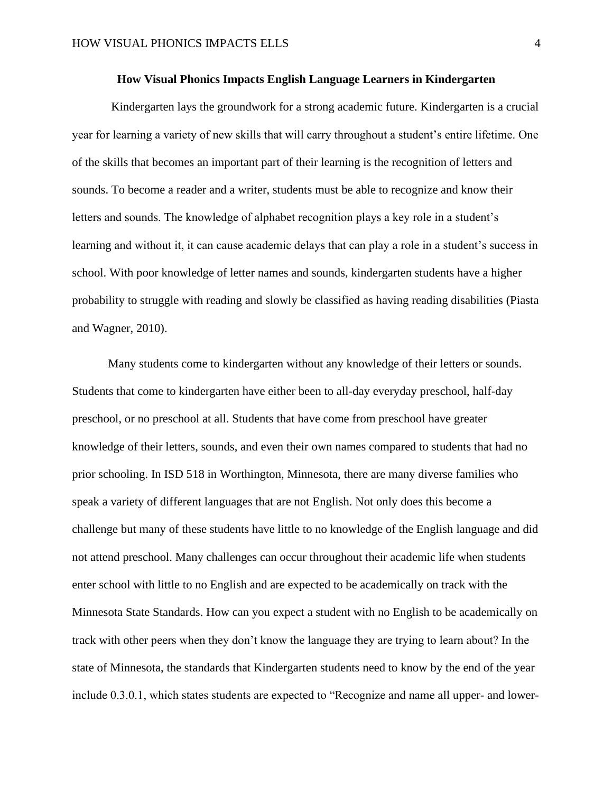#### **How Visual Phonics Impacts English Language Learners in Kindergarten**

<span id="page-4-0"></span>Kindergarten lays the groundwork for a strong academic future. Kindergarten is a crucial year for learning a variety of new skills that will carry throughout a student's entire lifetime. One of the skills that becomes an important part of their learning is the recognition of letters and sounds. To become a reader and a writer, students must be able to recognize and know their letters and sounds. The knowledge of alphabet recognition plays a key role in a student's learning and without it, it can cause academic delays that can play a role in a student's success in school. With poor knowledge of letter names and sounds, kindergarten students have a higher probability to struggle with reading and slowly be classified as having reading disabilities (Piasta and Wagner, 2010).

Many students come to kindergarten without any knowledge of their letters or sounds. Students that come to kindergarten have either been to all-day everyday preschool, half-day preschool, or no preschool at all. Students that have come from preschool have greater knowledge of their letters, sounds, and even their own names compared to students that had no prior schooling. In ISD 518 in Worthington, Minnesota, there are many diverse families who speak a variety of different languages that are not English. Not only does this become a challenge but many of these students have little to no knowledge of the English language and did not attend preschool. Many challenges can occur throughout their academic life when students enter school with little to no English and are expected to be academically on track with the Minnesota State Standards. How can you expect a student with no English to be academically on track with other peers when they don't know the language they are trying to learn about? In the state of Minnesota, the standards that Kindergarten students need to know by the end of the year include 0.3.0.1, which states students are expected to "Recognize and name all upper- and lower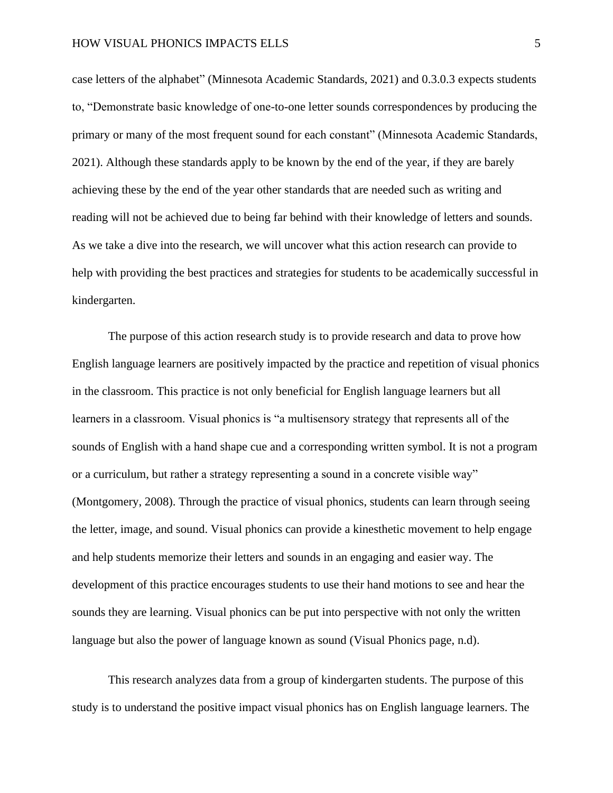case letters of the alphabet" (Minnesota Academic Standards, 2021) and 0.3.0.3 expects students to, "Demonstrate basic knowledge of one-to-one letter sounds correspondences by producing the primary or many of the most frequent sound for each constant" (Minnesota Academic Standards, 2021). Although these standards apply to be known by the end of the year, if they are barely achieving these by the end of the year other standards that are needed such as writing and reading will not be achieved due to being far behind with their knowledge of letters and sounds. As we take a dive into the research, we will uncover what this action research can provide to help with providing the best practices and strategies for students to be academically successful in kindergarten.

The purpose of this action research study is to provide research and data to prove how English language learners are positively impacted by the practice and repetition of visual phonics in the classroom. This practice is not only beneficial for English language learners but all learners in a classroom. Visual phonics is "a multisensory strategy that represents all of the sounds of English with a hand shape cue and a corresponding written symbol. It is not a program or a curriculum, but rather a strategy representing a sound in a concrete visible way" (Montgomery, 2008). Through the practice of visual phonics, students can learn through seeing the letter, image, and sound. Visual phonics can provide a kinesthetic movement to help engage and help students memorize their letters and sounds in an engaging and easier way. The development of this practice encourages students to use their hand motions to see and hear the sounds they are learning. Visual phonics can be put into perspective with not only the written language but also the power of language known as sound (Visual Phonics page, n.d).

This research analyzes data from a group of kindergarten students. The purpose of this study is to understand the positive impact visual phonics has on English language learners. The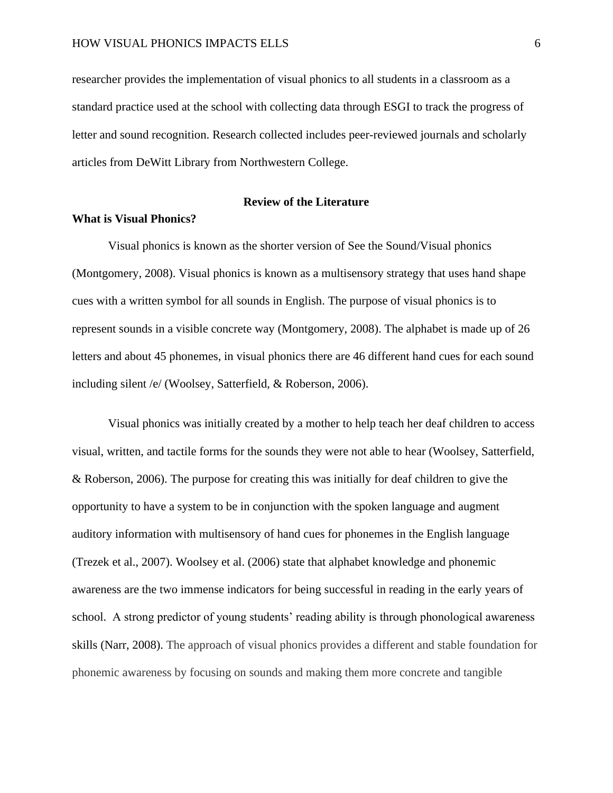researcher provides the implementation of visual phonics to all students in a classroom as a standard practice used at the school with collecting data through ESGI to track the progress of letter and sound recognition. Research collected includes peer-reviewed journals and scholarly articles from DeWitt Library from Northwestern College.

#### **Review of the Literature**

#### <span id="page-6-1"></span><span id="page-6-0"></span>**What is Visual Phonics?**

Visual phonics is known as the shorter version of See the Sound/Visual phonics (Montgomery, 2008). Visual phonics is known as a multisensory strategy that uses hand shape cues with a written symbol for all sounds in English. The purpose of visual phonics is to represent sounds in a visible concrete way (Montgomery, 2008). The alphabet is made up of 26 letters and about 45 phonemes, in visual phonics there are 46 different hand cues for each sound including silent /e/ (Woolsey, Satterfield, & Roberson, 2006).

Visual phonics was initially created by a mother to help teach her deaf children to access visual, written, and tactile forms for the sounds they were not able to hear (Woolsey, Satterfield, & Roberson, 2006). The purpose for creating this was initially for deaf children to give the opportunity to have a system to be in conjunction with the spoken language and augment auditory information with multisensory of hand cues for phonemes in the English language (Trezek et al., 2007). Woolsey et al. (2006) state that alphabet knowledge and phonemic awareness are the two immense indicators for being successful in reading in the early years of school. A strong predictor of young students' reading ability is through phonological awareness skills (Narr, 2008). The approach of visual phonics provides a different and stable foundation for phonemic awareness by focusing on sounds and making them more concrete and tangible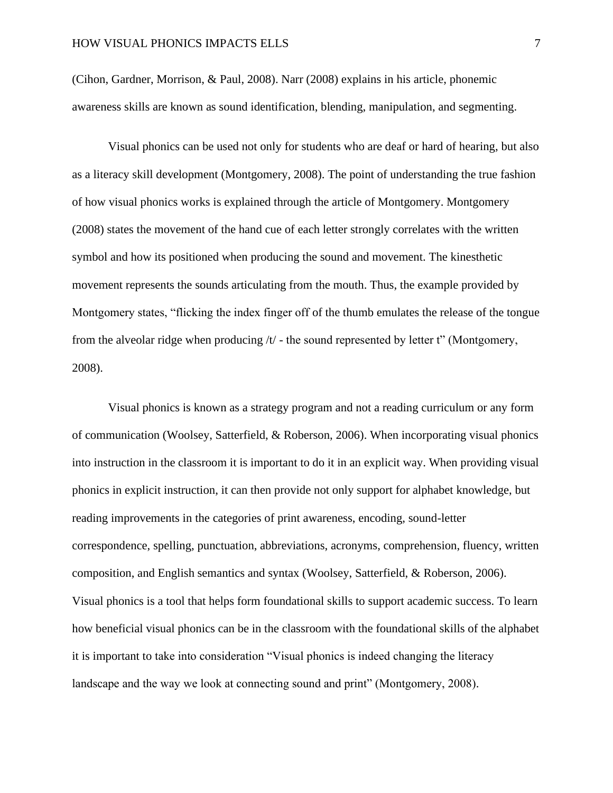(Cihon, Gardner, Morrison, & Paul, 2008). Narr (2008) explains in his article, phonemic awareness skills are known as sound identification, blending, manipulation, and segmenting.

Visual phonics can be used not only for students who are deaf or hard of hearing, but also as a literacy skill development (Montgomery, 2008). The point of understanding the true fashion of how visual phonics works is explained through the article of Montgomery. Montgomery (2008) states the movement of the hand cue of each letter strongly correlates with the written symbol and how its positioned when producing the sound and movement. The kinesthetic movement represents the sounds articulating from the mouth. Thus, the example provided by Montgomery states, "flicking the index finger off of the thumb emulates the release of the tongue from the alveolar ridge when producing  $/t$  - the sound represented by letter t" (Montgomery, 2008).

Visual phonics is known as a strategy program and not a reading curriculum or any form of communication (Woolsey, Satterfield, & Roberson, 2006). When incorporating visual phonics into instruction in the classroom it is important to do it in an explicit way. When providing visual phonics in explicit instruction, it can then provide not only support for alphabet knowledge, but reading improvements in the categories of print awareness, encoding, sound-letter correspondence, spelling, punctuation, abbreviations, acronyms, comprehension, fluency, written composition, and English semantics and syntax (Woolsey, Satterfield, & Roberson, 2006). Visual phonics is a tool that helps form foundational skills to support academic success. To learn how beneficial visual phonics can be in the classroom with the foundational skills of the alphabet it is important to take into consideration "Visual phonics is indeed changing the literacy landscape and the way we look at connecting sound and print" (Montgomery, 2008).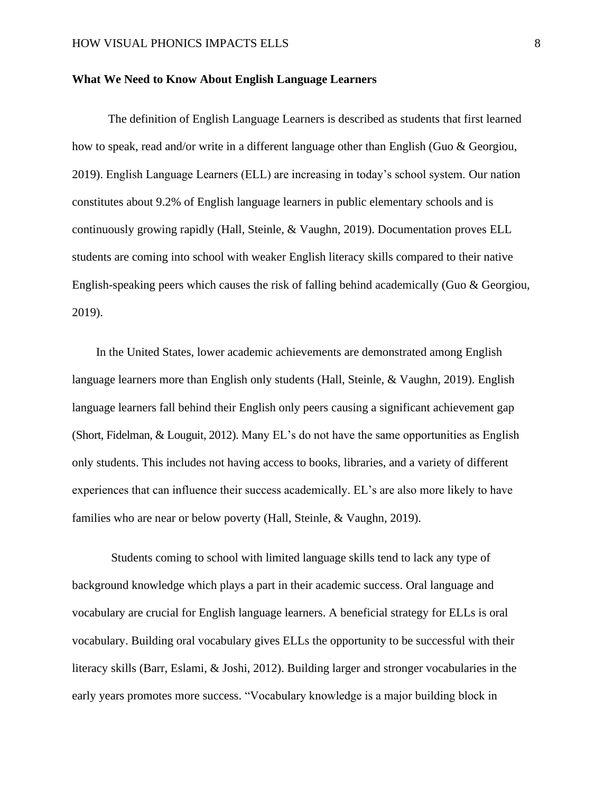#### <span id="page-8-0"></span>**What We Need to Know About English Language Learners**

The definition of English Language Learners is described as students that first learned how to speak, read and/or write in a different language other than English (Guo & Georgiou, 2019). English Language Learners (ELL) are increasing in today's school system. Our nation constitutes about 9.2% of English language learners in public elementary schools and is continuously growing rapidly (Hall, Steinle, & Vaughn, 2019). Documentation proves ELL students are coming into school with weaker English literacy skills compared to their native English-speaking peers which causes the risk of falling behind academically (Guo & Georgiou, 2019).

 In the United States, lower academic achievements are demonstrated among English language learners more than English only students (Hall, Steinle, & Vaughn, 2019). English language learners fall behind their English only peers causing a significant achievement gap (Short, Fidelman, & Louguit, 2012). Many EL's do not have the same opportunities as English only students. This includes not having access to books, libraries, and a variety of different experiences that can influence their success academically. EL's are also more likely to have families who are near or below poverty (Hall, Steinle, & Vaughn, 2019).

Students coming to school with limited language skills tend to lack any type of background knowledge which plays a part in their academic success. Oral language and vocabulary are crucial for English language learners. A beneficial strategy for ELLs is oral vocabulary. Building oral vocabulary gives ELLs the opportunity to be successful with their literacy skills (Barr, Eslami, & Joshi, 2012). Building larger and stronger vocabularies in the early years promotes more success. "Vocabulary knowledge is a major building block in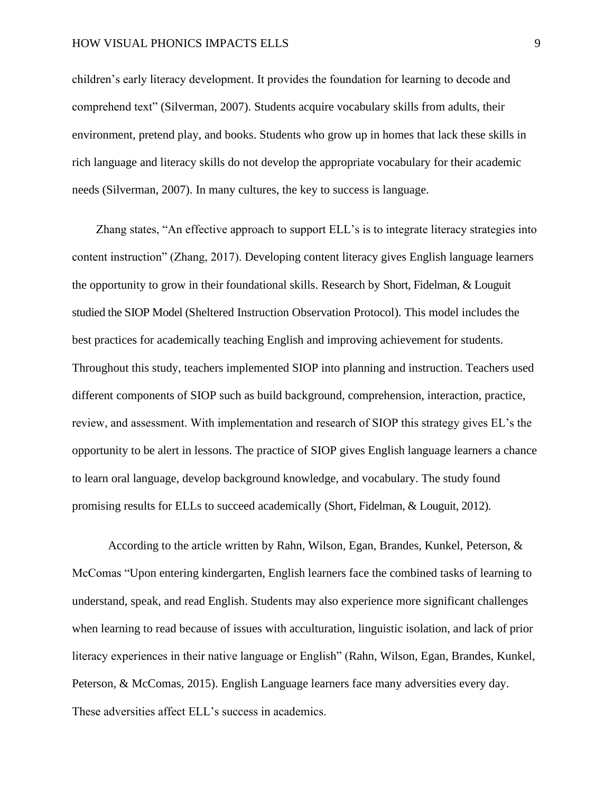#### HOW VISUAL PHONICS IMPACTS ELLS 9

children's early literacy development. It provides the foundation for learning to decode and comprehend text" (Silverman, 2007). Students acquire vocabulary skills from adults, their environment, pretend play, and books. Students who grow up in homes that lack these skills in rich language and literacy skills do not develop the appropriate vocabulary for their academic needs (Silverman, 2007). In many cultures, the key to success is language.

 Zhang states, "An effective approach to support ELL's is to integrate literacy strategies into content instruction" (Zhang, 2017). Developing content literacy gives English language learners the opportunity to grow in their foundational skills. Research by Short, Fidelman, & Louguit studied the SIOP Model (Sheltered Instruction Observation Protocol). This model includes the best practices for academically teaching English and improving achievement for students. Throughout this study, teachers implemented SIOP into planning and instruction. Teachers used different components of SIOP such as build background, comprehension, interaction, practice, review, and assessment. With implementation and research of SIOP this strategy gives EL's the opportunity to be alert in lessons. The practice of SIOP gives English language learners a chance to learn oral language, develop background knowledge, and vocabulary. The study found promising results for ELLs to succeed academically (Short, Fidelman, & Louguit, 2012).

According to the article written by Rahn, Wilson, Egan, Brandes, Kunkel, Peterson, & McComas "Upon entering kindergarten, English learners face the combined tasks of learning to understand, speak, and read English. Students may also experience more significant challenges when learning to read because of issues with acculturation, linguistic isolation, and lack of prior literacy experiences in their native language or English" (Rahn, Wilson, Egan, Brandes, Kunkel, Peterson, & McComas, 2015). English Language learners face many adversities every day. These adversities affect ELL's success in academics.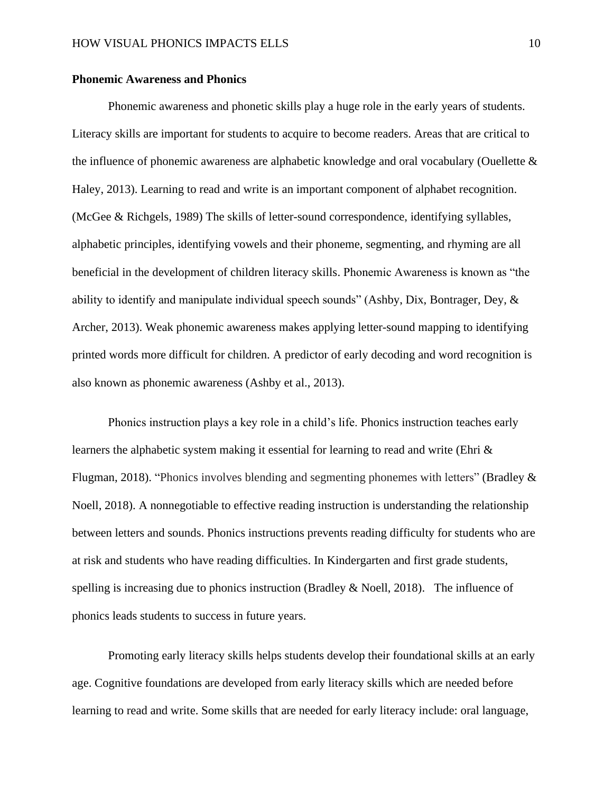#### <span id="page-10-0"></span>**Phonemic Awareness and Phonics**

Phonemic awareness and phonetic skills play a huge role in the early years of students. Literacy skills are important for students to acquire to become readers. Areas that are critical to the influence of phonemic awareness are alphabetic knowledge and oral vocabulary (Ouellette & Haley, 2013). Learning to read and write is an important component of alphabet recognition. (McGee & Richgels, 1989) The skills of letter-sound correspondence, identifying syllables, alphabetic principles, identifying vowels and their phoneme, segmenting, and rhyming are all beneficial in the development of children literacy skills. Phonemic Awareness is known as "the ability to identify and manipulate individual speech sounds" (Ashby, Dix, Bontrager, Dey, & Archer, 2013). Weak phonemic awareness makes applying letter-sound mapping to identifying printed words more difficult for children. A predictor of early decoding and word recognition is also known as phonemic awareness (Ashby et al., 2013).

Phonics instruction plays a key role in a child's life. Phonics instruction teaches early learners the alphabetic system making it essential for learning to read and write (Ehri & Flugman, 2018). "Phonics involves blending and segmenting phonemes with letters" (Bradley & Noell, 2018). A nonnegotiable to effective reading instruction is understanding the relationship between letters and sounds. Phonics instructions prevents reading difficulty for students who are at risk and students who have reading difficulties. In Kindergarten and first grade students, spelling is increasing due to phonics instruction (Bradley & Noell, 2018). The influence of phonics leads students to success in future years.

Promoting early literacy skills helps students develop their foundational skills at an early age. Cognitive foundations are developed from early literacy skills which are needed before learning to read and write. Some skills that are needed for early literacy include: oral language,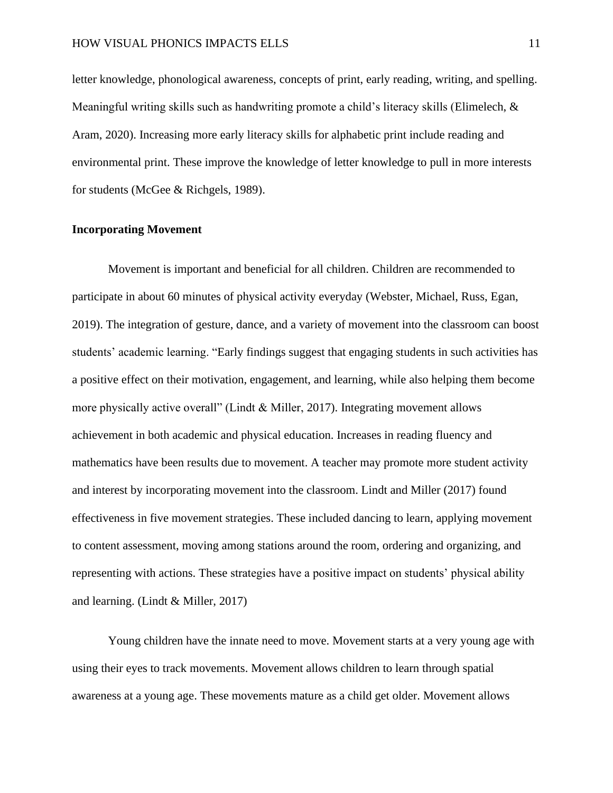#### HOW VISUAL PHONICS IMPACTS ELLS 11

letter knowledge, phonological awareness, concepts of print, early reading, writing, and spelling. Meaningful writing skills such as handwriting promote a child's literacy skills (Elimelech, & Aram, 2020). Increasing more early literacy skills for alphabetic print include reading and environmental print. These improve the knowledge of letter knowledge to pull in more interests for students (McGee & Richgels, 1989).

#### <span id="page-11-0"></span>**Incorporating Movement**

Movement is important and beneficial for all children. Children are recommended to participate in about 60 minutes of physical activity everyday (Webster, Michael, Russ, Egan, 2019). The integration of gesture, dance, and a variety of movement into the classroom can boost students' academic learning. "Early findings suggest that engaging students in such activities has a positive effect on their motivation, engagement, and learning, while also helping them become more physically active overall" (Lindt & Miller, 2017). Integrating movement allows achievement in both academic and physical education. Increases in reading fluency and mathematics have been results due to movement. A teacher may promote more student activity and interest by incorporating movement into the classroom. Lindt and Miller (2017) found effectiveness in five movement strategies. These included dancing to learn, applying movement to content assessment, moving among stations around the room, ordering and organizing, and representing with actions. These strategies have a positive impact on students' physical ability and learning. (Lindt & Miller, 2017)

 Young children have the innate need to move. Movement starts at a very young age with using their eyes to track movements. Movement allows children to learn through spatial awareness at a young age. These movements mature as a child get older. Movement allows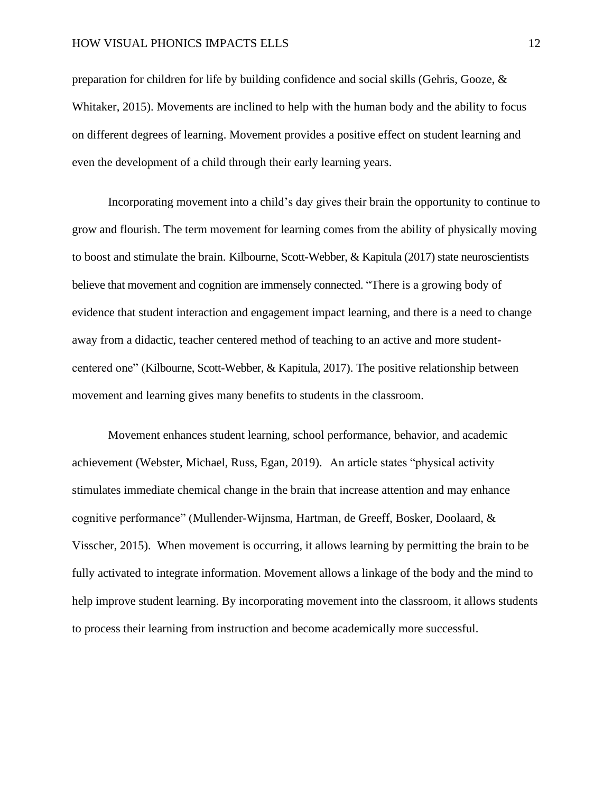preparation for children for life by building confidence and social skills (Gehris, Gooze, & Whitaker, 2015). Movements are inclined to help with the human body and the ability to focus on different degrees of learning. Movement provides a positive effect on student learning and even the development of a child through their early learning years.

 Incorporating movement into a child's day gives their brain the opportunity to continue to grow and flourish. The term movement for learning comes from the ability of physically moving to boost and stimulate the brain. Kilbourne, Scott-Webber, & Kapitula (2017) state neuroscientists believe that movement and cognition are immensely connected. "There is a growing body of evidence that student interaction and engagement impact learning, and there is a need to change away from a didactic, teacher centered method of teaching to an active and more studentcentered one" (Kilbourne, Scott-Webber, & Kapitula, 2017). The positive relationship between movement and learning gives many benefits to students in the classroom.

Movement enhances student learning, school performance, behavior, and academic achievement (Webster, Michael, Russ, Egan, 2019). An article states "physical activity stimulates immediate chemical change in the brain that increase attention and may enhance cognitive performance" (Mullender-Wijnsma, Hartman, de Greeff, Bosker, Doolaard, & Visscher, 2015). When movement is occurring, it allows learning by permitting the brain to be fully activated to integrate information. Movement allows a linkage of the body and the mind to help improve student learning. By incorporating movement into the classroom, it allows students to process their learning from instruction and become academically more successful.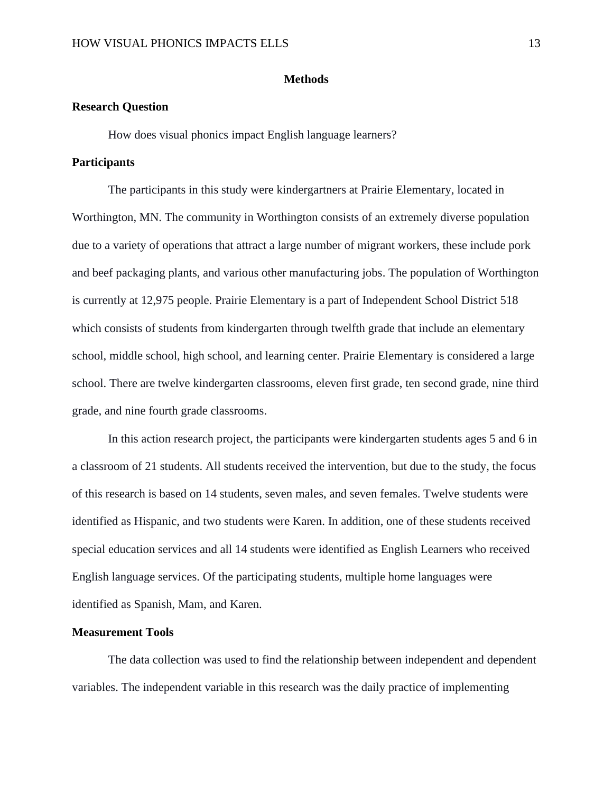## **Methods**

## <span id="page-13-1"></span><span id="page-13-0"></span>**Research Question**

How does visual phonics impact English language learners?

#### <span id="page-13-2"></span>**Participants**

The participants in this study were kindergartners at Prairie Elementary, located in Worthington, MN. The community in Worthington consists of an extremely diverse population due to a variety of operations that attract a large number of migrant workers, these include pork and beef packaging plants, and various other manufacturing jobs. The population of Worthington is currently at 12,975 people. Prairie Elementary is a part of Independent School District 518 which consists of students from kindergarten through twelfth grade that include an elementary school, middle school, high school, and learning center. Prairie Elementary is considered a large school. There are twelve kindergarten classrooms, eleven first grade, ten second grade, nine third grade, and nine fourth grade classrooms.

In this action research project, the participants were kindergarten students ages 5 and 6 in a classroom of 21 students. All students received the intervention, but due to the study, the focus of this research is based on 14 students, seven males, and seven females. Twelve students were identified as Hispanic, and two students were Karen. In addition, one of these students received special education services and all 14 students were identified as English Learners who received English language services. Of the participating students, multiple home languages were identified as Spanish, Mam, and Karen.

#### <span id="page-13-3"></span>**Measurement Tools**

The data collection was used to find the relationship between independent and dependent variables. The independent variable in this research was the daily practice of implementing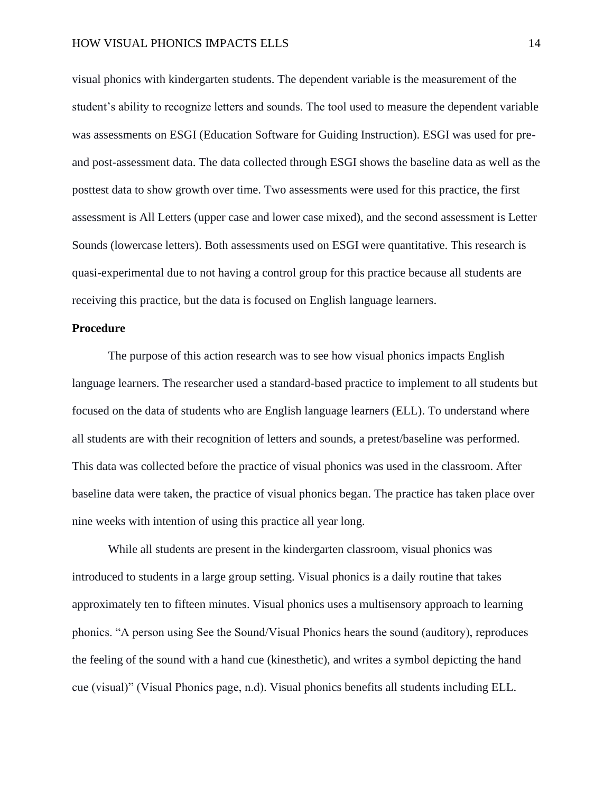visual phonics with kindergarten students. The dependent variable is the measurement of the student's ability to recognize letters and sounds. The tool used to measure the dependent variable was assessments on ESGI (Education Software for Guiding Instruction). ESGI was used for preand post-assessment data. The data collected through ESGI shows the baseline data as well as the posttest data to show growth over time. Two assessments were used for this practice, the first assessment is All Letters (upper case and lower case mixed), and the second assessment is Letter Sounds (lowercase letters). Both assessments used on ESGI were quantitative. This research is quasi-experimental due to not having a control group for this practice because all students are receiving this practice, but the data is focused on English language learners.

#### <span id="page-14-0"></span>**Procedure**

The purpose of this action research was to see how visual phonics impacts English language learners. The researcher used a standard-based practice to implement to all students but focused on the data of students who are English language learners (ELL). To understand where all students are with their recognition of letters and sounds, a pretest/baseline was performed. This data was collected before the practice of visual phonics was used in the classroom. After baseline data were taken, the practice of visual phonics began. The practice has taken place over nine weeks with intention of using this practice all year long.

 While all students are present in the kindergarten classroom, visual phonics was introduced to students in a large group setting. Visual phonics is a daily routine that takes approximately ten to fifteen minutes. Visual phonics uses a multisensory approach to learning phonics. "A person using See the Sound/Visual Phonics hears the sound (auditory), reproduces the feeling of the sound with a hand cue (kinesthetic), and writes a symbol depicting the hand cue (visual)" (Visual Phonics page, n.d). Visual phonics benefits all students including ELL.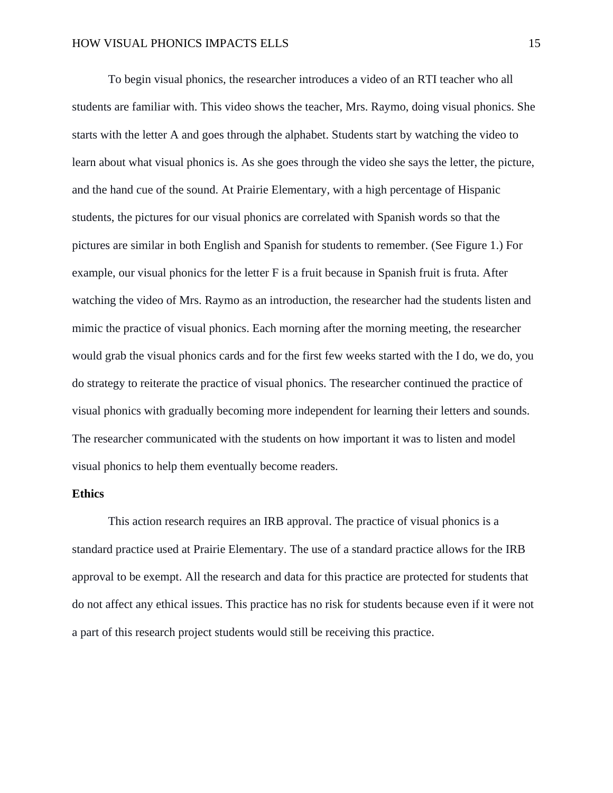To begin visual phonics, the researcher introduces a video of an RTI teacher who all students are familiar with. This video shows the teacher, Mrs. Raymo, doing visual phonics. She starts with the letter A and goes through the alphabet. Students start by watching the video to learn about what visual phonics is. As she goes through the video she says the letter, the picture, and the hand cue of the sound. At Prairie Elementary, with a high percentage of Hispanic students, the pictures for our visual phonics are correlated with Spanish words so that the pictures are similar in both English and Spanish for students to remember. (See Figure 1.) For example, our visual phonics for the letter F is a fruit because in Spanish fruit is fruta. After watching the video of Mrs. Raymo as an introduction, the researcher had the students listen and mimic the practice of visual phonics. Each morning after the morning meeting, the researcher would grab the visual phonics cards and for the first few weeks started with the I do, we do, you do strategy to reiterate the practice of visual phonics. The researcher continued the practice of visual phonics with gradually becoming more independent for learning their letters and sounds. The researcher communicated with the students on how important it was to listen and model visual phonics to help them eventually become readers.

## <span id="page-15-0"></span>**Ethics**

This action research requires an IRB approval. The practice of visual phonics is a standard practice used at Prairie Elementary. The use of a standard practice allows for the IRB approval to be exempt. All the research and data for this practice are protected for students that do not affect any ethical issues. This practice has no risk for students because even if it were not a part of this research project students would still be receiving this practice.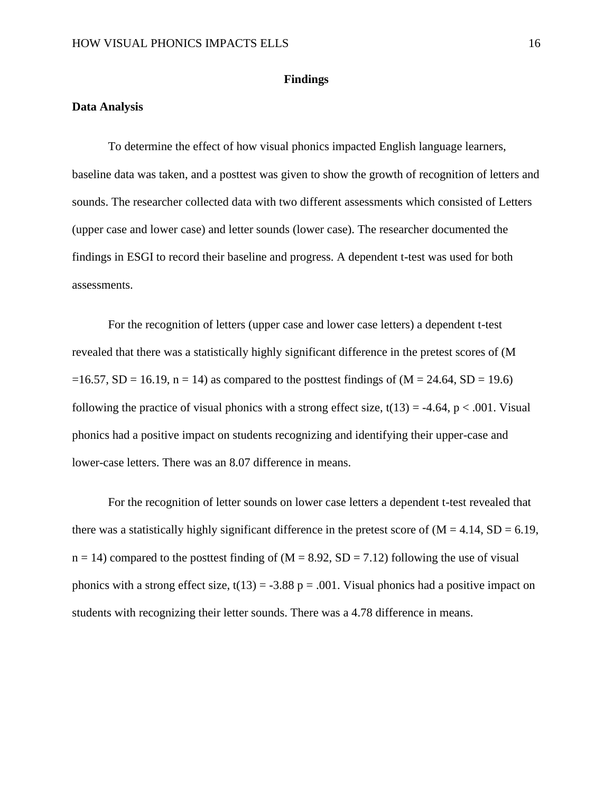#### **Findings**

## <span id="page-16-1"></span><span id="page-16-0"></span>**Data Analysis**

To determine the effect of how visual phonics impacted English language learners, baseline data was taken, and a posttest was given to show the growth of recognition of letters and sounds. The researcher collected data with two different assessments which consisted of Letters (upper case and lower case) and letter sounds (lower case). The researcher documented the findings in ESGI to record their baseline and progress. A dependent t-test was used for both assessments.

For the recognition of letters (upper case and lower case letters) a dependent t-test revealed that there was a statistically highly significant difference in the pretest scores of (M  $=16.57$ , SD = 16.19, n = 14) as compared to the posttest findings of (M = 24.64, SD = 19.6) following the practice of visual phonics with a strong effect size,  $t(13) = -4.64$ ,  $p < .001$ . Visual phonics had a positive impact on students recognizing and identifying their upper-case and lower-case letters. There was an 8.07 difference in means.

For the recognition of letter sounds on lower case letters a dependent t-test revealed that there was a statistically highly significant difference in the pretest score of  $(M = 4.14, SD = 6.19,$  $n = 14$ ) compared to the posttest finding of (M = 8.92, SD = 7.12) following the use of visual phonics with a strong effect size,  $t(13) = -3.88$  p = .001. Visual phonics had a positive impact on students with recognizing their letter sounds. There was a 4.78 difference in means.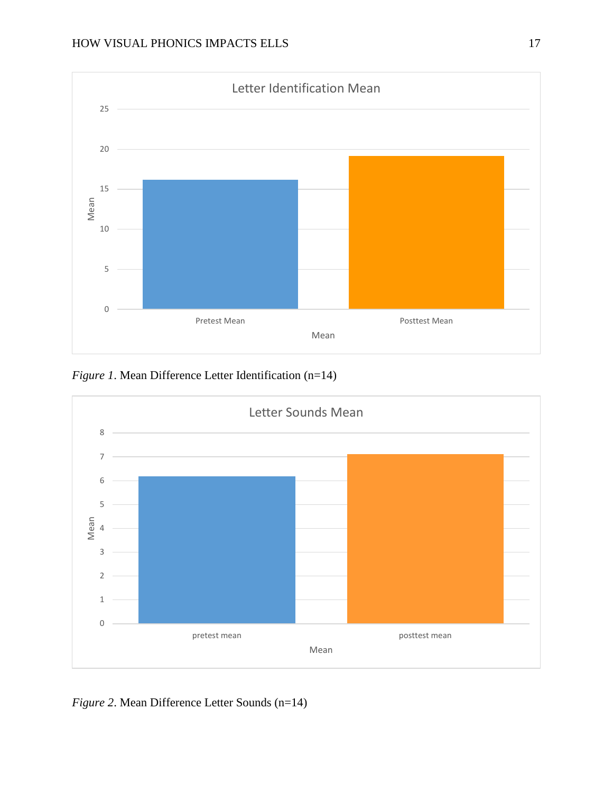

*Figure 1*. Mean Difference Letter Identification (n=14)



*Figure 2*. Mean Difference Letter Sounds (n=14)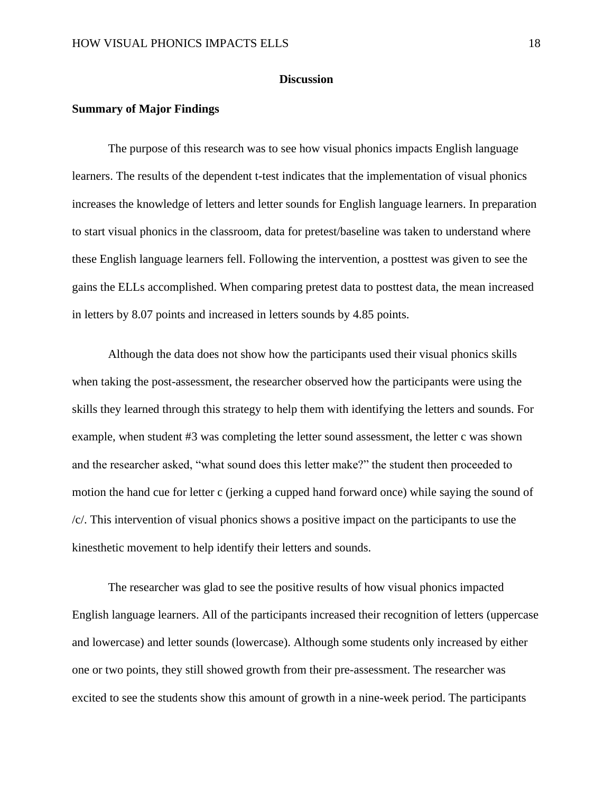#### **Discussion**

#### <span id="page-18-1"></span><span id="page-18-0"></span>**Summary of Major Findings**

The purpose of this research was to see how visual phonics impacts English language learners. The results of the dependent t-test indicates that the implementation of visual phonics increases the knowledge of letters and letter sounds for English language learners. In preparation to start visual phonics in the classroom, data for pretest/baseline was taken to understand where these English language learners fell. Following the intervention, a posttest was given to see the gains the ELLs accomplished. When comparing pretest data to posttest data, the mean increased in letters by 8.07 points and increased in letters sounds by 4.85 points.

 Although the data does not show how the participants used their visual phonics skills when taking the post-assessment, the researcher observed how the participants were using the skills they learned through this strategy to help them with identifying the letters and sounds. For example, when student #3 was completing the letter sound assessment, the letter c was shown and the researcher asked, "what sound does this letter make?" the student then proceeded to motion the hand cue for letter c (jerking a cupped hand forward once) while saying the sound of /c/. This intervention of visual phonics shows a positive impact on the participants to use the kinesthetic movement to help identify their letters and sounds.

The researcher was glad to see the positive results of how visual phonics impacted English language learners. All of the participants increased their recognition of letters (uppercase and lowercase) and letter sounds (lowercase). Although some students only increased by either one or two points, they still showed growth from their pre-assessment. The researcher was excited to see the students show this amount of growth in a nine-week period. The participants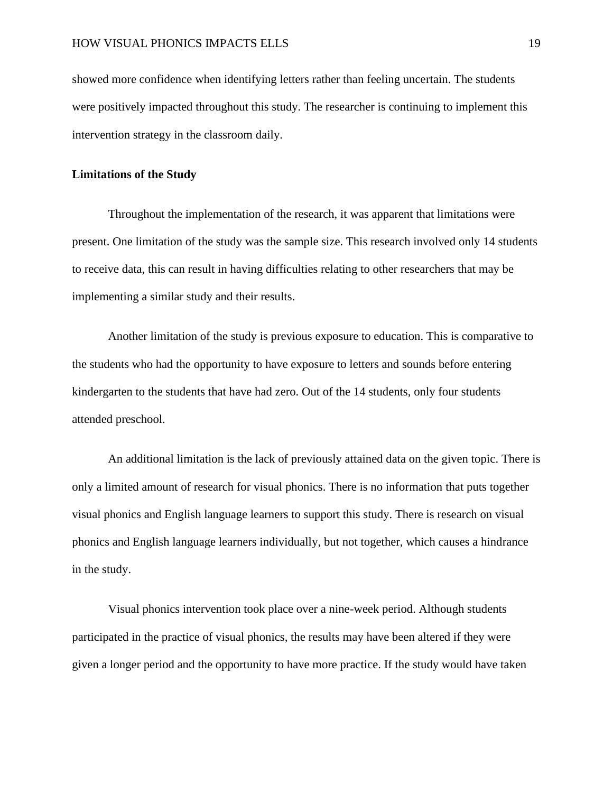showed more confidence when identifying letters rather than feeling uncertain. The students were positively impacted throughout this study. The researcher is continuing to implement this intervention strategy in the classroom daily.

#### <span id="page-19-0"></span>**Limitations of the Study**

Throughout the implementation of the research, it was apparent that limitations were present. One limitation of the study was the sample size. This research involved only 14 students to receive data, this can result in having difficulties relating to other researchers that may be implementing a similar study and their results.

Another limitation of the study is previous exposure to education. This is comparative to the students who had the opportunity to have exposure to letters and sounds before entering kindergarten to the students that have had zero. Out of the 14 students, only four students attended preschool.

 An additional limitation is the lack of previously attained data on the given topic. There is only a limited amount of research for visual phonics. There is no information that puts together visual phonics and English language learners to support this study. There is research on visual phonics and English language learners individually, but not together, which causes a hindrance in the study.

 Visual phonics intervention took place over a nine-week period. Although students participated in the practice of visual phonics, the results may have been altered if they were given a longer period and the opportunity to have more practice. If the study would have taken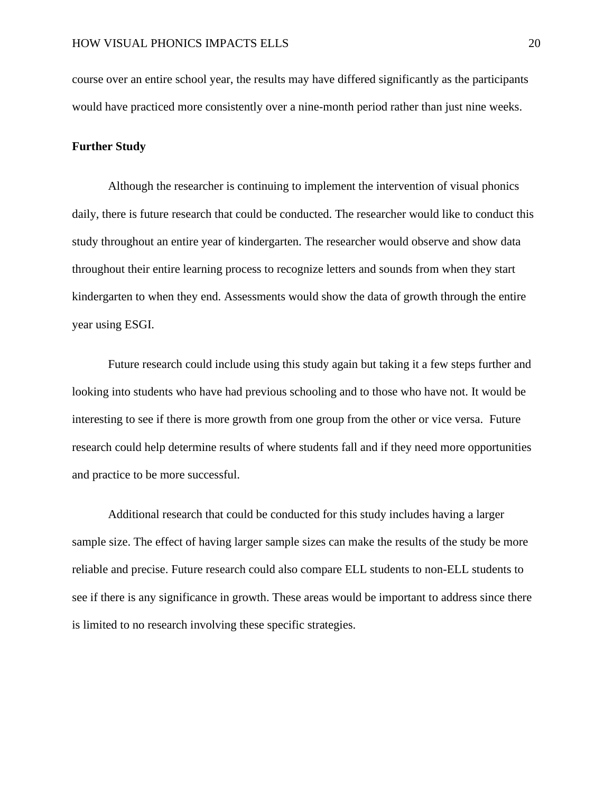course over an entire school year, the results may have differed significantly as the participants would have practiced more consistently over a nine-month period rather than just nine weeks.

#### <span id="page-20-0"></span>**Further Study**

Although the researcher is continuing to implement the intervention of visual phonics daily, there is future research that could be conducted. The researcher would like to conduct this study throughout an entire year of kindergarten. The researcher would observe and show data throughout their entire learning process to recognize letters and sounds from when they start kindergarten to when they end. Assessments would show the data of growth through the entire year using ESGI.

Future research could include using this study again but taking it a few steps further and looking into students who have had previous schooling and to those who have not. It would be interesting to see if there is more growth from one group from the other or vice versa. Future research could help determine results of where students fall and if they need more opportunities and practice to be more successful.

Additional research that could be conducted for this study includes having a larger sample size. The effect of having larger sample sizes can make the results of the study be more reliable and precise. Future research could also compare ELL students to non-ELL students to see if there is any significance in growth. These areas would be important to address since there is limited to no research involving these specific strategies.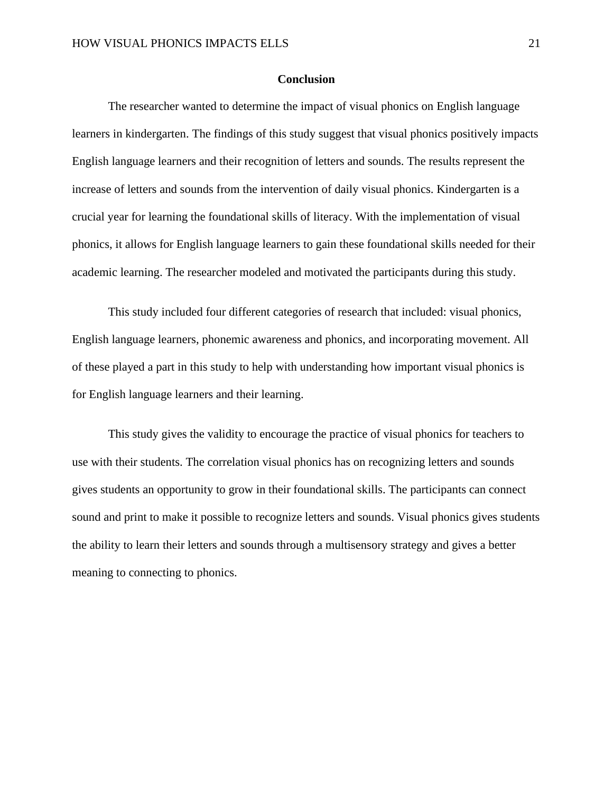# **Conclusion**

<span id="page-21-0"></span>The researcher wanted to determine the impact of visual phonics on English language learners in kindergarten. The findings of this study suggest that visual phonics positively impacts English language learners and their recognition of letters and sounds. The results represent the increase of letters and sounds from the intervention of daily visual phonics. Kindergarten is a crucial year for learning the foundational skills of literacy. With the implementation of visual phonics, it allows for English language learners to gain these foundational skills needed for their academic learning. The researcher modeled and motivated the participants during this study.

This study included four different categories of research that included: visual phonics, English language learners, phonemic awareness and phonics, and incorporating movement. All of these played a part in this study to help with understanding how important visual phonics is for English language learners and their learning.

 This study gives the validity to encourage the practice of visual phonics for teachers to use with their students. The correlation visual phonics has on recognizing letters and sounds gives students an opportunity to grow in their foundational skills. The participants can connect sound and print to make it possible to recognize letters and sounds. Visual phonics gives students the ability to learn their letters and sounds through a multisensory strategy and gives a better meaning to connecting to phonics.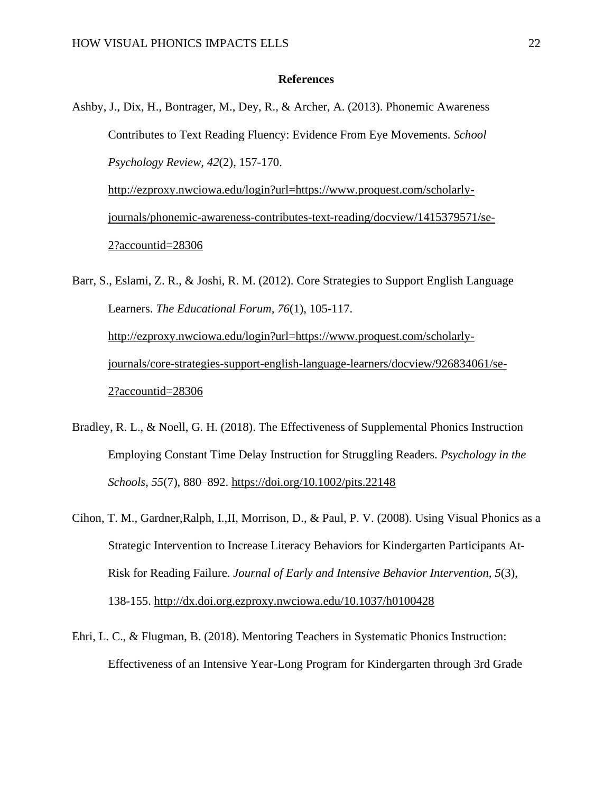#### **References**

- <span id="page-22-0"></span>Ashby, J., Dix, H., Bontrager, M., Dey, R., & Archer, A. (2013). Phonemic Awareness Contributes to Text Reading Fluency: Evidence From Eye Movements. *School Psychology Review, 42*(2), 157-170. [http://ezproxy.nwciowa.edu/login?url=https://www.proquest.com/scholarly](http://ezproxy.nwciowa.edu/login?url=https://www.proquest.com/scholarly-journals/phonemic-awareness-contributes-text-reading/docview/1415379571/se-2?accountid=28306)[journals/phonemic-awareness-contributes-text-reading/docview/1415379571/se-](http://ezproxy.nwciowa.edu/login?url=https://www.proquest.com/scholarly-journals/phonemic-awareness-contributes-text-reading/docview/1415379571/se-2?accountid=28306)[2?accountid=28306](http://ezproxy.nwciowa.edu/login?url=https://www.proquest.com/scholarly-journals/phonemic-awareness-contributes-text-reading/docview/1415379571/se-2?accountid=28306)
- Barr, S., Eslami, Z. R., & Joshi, R. M. (2012). Core Strategies to Support English Language Learners. *The Educational Forum, 76*(1), 105-117. [http://ezproxy.nwciowa.edu/login?url=https://www.proquest.com/scholarly](http://ezproxy.nwciowa.edu/login?url=https://www.proquest.com/scholarly-journals/core-strategies-support-english-language-learners/docview/926834061/se-2?accountid=28306)[journals/core-strategies-support-english-language-learners/docview/926834061/se-](http://ezproxy.nwciowa.edu/login?url=https://www.proquest.com/scholarly-journals/core-strategies-support-english-language-learners/docview/926834061/se-2?accountid=28306)[2?accountid=28306](http://ezproxy.nwciowa.edu/login?url=https://www.proquest.com/scholarly-journals/core-strategies-support-english-language-learners/docview/926834061/se-2?accountid=28306)
- Bradley, R. L., & Noell, G. H. (2018). The Effectiveness of Supplemental Phonics Instruction Employing Constant Time Delay Instruction for Struggling Readers. *Psychology in the Schools*, *55*(7), 880–892.<https://doi.org/10.1002/pits.22148>
- Cihon, T. M., Gardner,Ralph, I.,II, Morrison, D., & Paul, P. V. (2008). Using Visual Phonics as a Strategic Intervention to Increase Literacy Behaviors for Kindergarten Participants At-Risk for Reading Failure. *Journal of Early and Intensive Behavior Intervention, 5*(3), 138-155.<http://dx.doi.org.ezproxy.nwciowa.edu/10.1037/h0100428>
- Ehri, L. C., & Flugman, B. (2018). Mentoring Teachers in Systematic Phonics Instruction: Effectiveness of an Intensive Year-Long Program for Kindergarten through 3rd Grade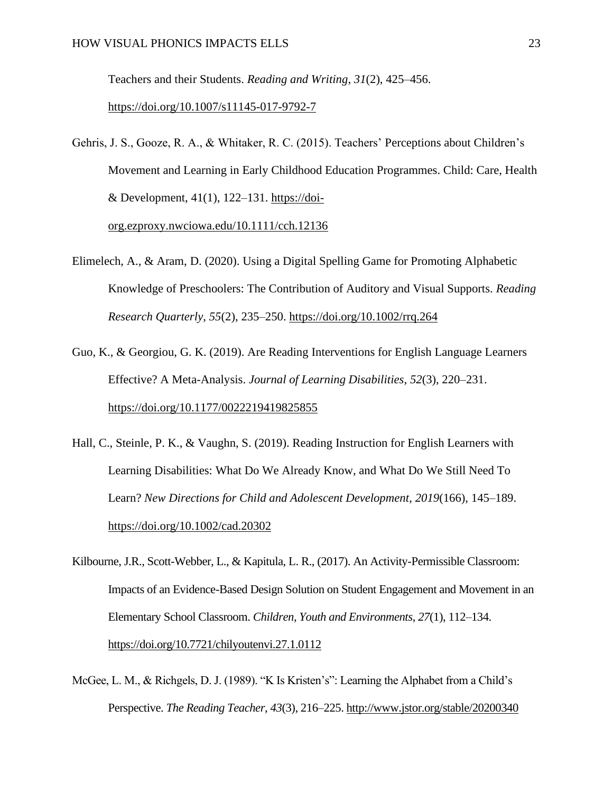Teachers and their Students. *Reading and Writing*, *31*(2), 425–456.

<https://doi.org/10.1007/s11145-017-9792-7>

Gehris, J. S., Gooze, R. A., & Whitaker, R. C. (2015). Teachers' Perceptions about Children's Movement and Learning in Early Childhood Education Programmes. Child: Care, Health & Development,  $41(1)$ ,  $122-131$ . [https://doi](https://doi-org.ezproxy.nwciowa.edu/10.1111/cch.12136)[org.ezproxy.nwciowa.edu/10.1111/cch.12136](https://doi-org.ezproxy.nwciowa.edu/10.1111/cch.12136)

- Elimelech, A., & Aram, D. (2020). Using a Digital Spelling Game for Promoting Alphabetic Knowledge of Preschoolers: The Contribution of Auditory and Visual Supports. *Reading Research Quarterly*, *55*(2), 235–250.<https://doi.org/10.1002/rrq.264>
- Guo, K., & Georgiou, G. K. (2019). Are Reading Interventions for English Language Learners Effective? A Meta-Analysis. *Journal of Learning Disabilities*, *52*(3), 220–231. <https://doi.org/10.1177/0022219419825855>
- Hall, C., Steinle, P. K., & Vaughn, S. (2019). Reading Instruction for English Learners with Learning Disabilities: What Do We Already Know, and What Do We Still Need To Learn? *New Directions for Child and Adolescent Development*, *2019*(166), 145–189. <https://doi.org/10.1002/cad.20302>
- Kilbourne, J.R., Scott-Webber, L., & Kapitula, L. R., (2017). An Activity-Permissible Classroom: Impacts of an Evidence-Based Design Solution on Student Engagement and Movement in an Elementary School Classroom. *Children, Youth and Environments*, *27*(1), 112–134. <https://doi.org/10.7721/chilyoutenvi.27.1.0112>
- McGee, L. M., & Richgels, D. J. (1989). "K Is Kristen's": Learning the Alphabet from a Child's Perspective. *The Reading Teacher*, *43*(3), 216–225.<http://www.jstor.org/stable/20200340>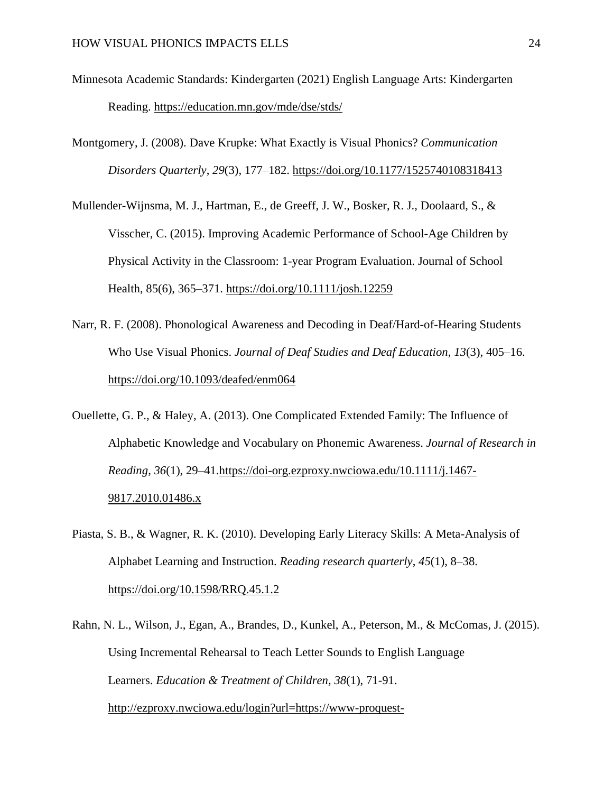- Minnesota Academic Standards: Kindergarten (2021) English Language Arts: Kindergarten Reading.<https://education.mn.gov/mde/dse/stds/>
- Montgomery, J. (2008). Dave Krupke: What Exactly is Visual Phonics? *Communication Disorders Quarterly*, *29*(3), 177–182.<https://doi.org/10.1177/1525740108318413>
- Mullender-Wijnsma, M. J., Hartman, E., de Greeff, J. W., Bosker, R. J., Doolaard, S., & Visscher, C. (2015). Improving Academic Performance of School-Age Children by Physical Activity in the Classroom: 1-year Program Evaluation. Journal of School Health, 85(6), 365–371.<https://doi.org/10.1111/josh.12259>
- Narr, R. F. (2008). Phonological Awareness and Decoding in Deaf/Hard-of-Hearing Students Who Use Visual Phonics. *Journal of Deaf Studies and Deaf Education*, *13*(3), 405–16. <https://doi.org/10.1093/deafed/enm064>
- Ouellette, G. P., & Haley, A. (2013). One Complicated Extended Family: The Influence of Alphabetic Knowledge and Vocabulary on Phonemic Awareness. *Journal of Research in Reading*, *36*(1), 29–41[.https://doi-org.ezproxy.nwciowa.edu/10.1111/j.1467-](https://doi-org.ezproxy.nwciowa.edu/10.1111/j.1467-9817.2010.01486.x) [9817.2010.01486.x](https://doi-org.ezproxy.nwciowa.edu/10.1111/j.1467-9817.2010.01486.x)
- Piasta, S. B., & Wagner, R. K. (2010). Developing Early Literacy Skills: A Meta-Analysis of Alphabet Learning and Instruction. *Reading research quarterly*, *45*(1), 8–38. <https://doi.org/10.1598/RRQ.45.1.2>
- Rahn, N. L., Wilson, J., Egan, A., Brandes, D., Kunkel, A., Peterson, M., & McComas, J. (2015). Using Incremental Rehearsal to Teach Letter Sounds to English Language Learners. *Education & Treatment of Children, 38*(1), 71-91. [http://ezproxy.nwciowa.edu/login?url=https://www-proquest-](http://ezproxy.nwciowa.edu/login?url=https://www-proquest-com.ezproxy.nwciowa.edu/scholarly-journals/using-incremental-rehearsal-teach-letter-sounds/docview/1655685201/se-2?accountid=28306)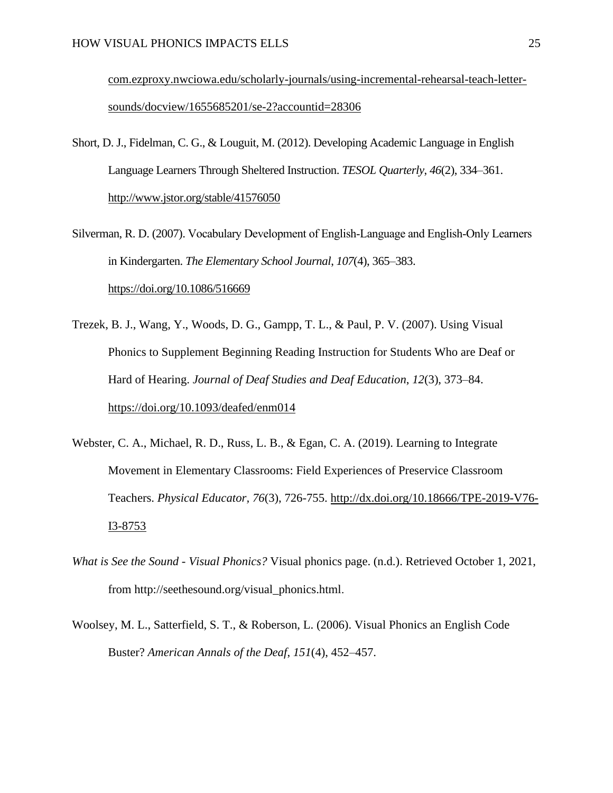[com.ezproxy.nwciowa.edu/scholarly-journals/using-incremental-rehearsal-teach-letter](http://ezproxy.nwciowa.edu/login?url=https://www-proquest-com.ezproxy.nwciowa.edu/scholarly-journals/using-incremental-rehearsal-teach-letter-sounds/docview/1655685201/se-2?accountid=28306)[sounds/docview/1655685201/se-2?accountid=28306](http://ezproxy.nwciowa.edu/login?url=https://www-proquest-com.ezproxy.nwciowa.edu/scholarly-journals/using-incremental-rehearsal-teach-letter-sounds/docview/1655685201/se-2?accountid=28306)

- Short, D. J., Fidelman, C. G., & Louguit, M. (2012). Developing Academic Language in English Language Learners Through Sheltered Instruction. *TESOL Quarterly*, *46*(2), 334–361. <http://www.jstor.org/stable/41576050>
- Silverman, R. D. (2007). Vocabulary Development of English‐Language and English‐Only Learners in Kindergarten. *The Elementary School Journal*, *107*(4), 365–383. <https://doi.org/10.1086/516669>
- Trezek, B. J., Wang, Y., Woods, D. G., Gampp, T. L., & Paul, P. V. (2007). Using Visual Phonics to Supplement Beginning Reading Instruction for Students Who are Deaf or Hard of Hearing. *Journal of Deaf Studies and Deaf Education*, *12*(3), 373–84. <https://doi.org/10.1093/deafed/enm014>
- Webster, C. A., Michael, R. D., Russ, L. B., & Egan, C. A. (2019). Learning to Integrate Movement in Elementary Classrooms: Field Experiences of Preservice Classroom Teachers. *Physical Educator, 76*(3), 726-755. [http://dx.doi.org/10.18666/TPE-2019-V76-](http://dx.doi.org/10.18666/TPE-2019-V76-I3-8753) [I3-8753](http://dx.doi.org/10.18666/TPE-2019-V76-I3-8753)
- *What is See the Sound - Visual Phonics?* Visual phonics page. (n.d.). Retrieved October 1, 2021, from http://seethesound.org/visual\_phonics.html.
- Woolsey, M. L., Satterfield, S. T., & Roberson, L. (2006). Visual Phonics an English Code Buster? *American Annals of the Deaf*, *151*(4), 452–457.